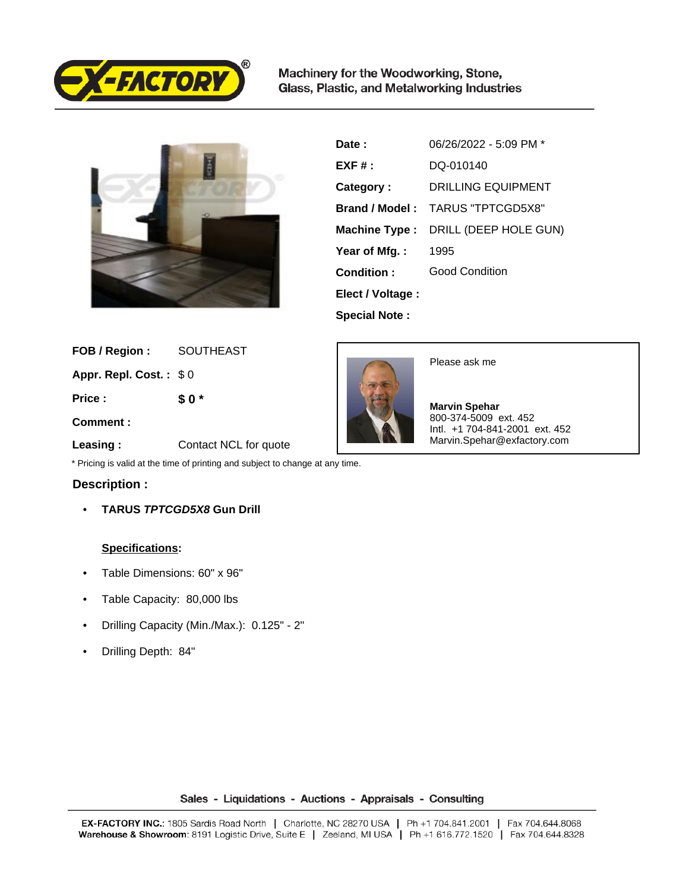

Machinery for the Woodworking, Stone, Glass, Plastic, and Metalworking Industries



| Date:                | 06/26/2022 - 5:09 PM *    |
|----------------------|---------------------------|
| $EXF#$ :             | DO-010140                 |
| Category:            | <b>DRILLING EQUIPMENT</b> |
| Brand / Model:       | TARUS "TPTCGD5X8"         |
| Machine Type :       | DRILL (DEEP HOLE GUN)     |
| Year of Mfg.:        | 1995                      |
| Condition:           | Good Condition            |
| Elect / Voltage :    |                           |
| <b>Special Note:</b> |                           |

 **FOB / Region :** SOUTHEAST

 **Appr. Repl. Cost. :** \$ 0

 **Price :**

**\$ 0 \***

 **Comment :**

Please ask me

 **Marvin Spehar** 800-374-5009 ext. 452 Intl. +1 704-841-2001 ext. 452 Marvin.Spehar@exfactory.com

 **Leasing :** Contact NCL for quote

\* Pricing is valid at the time of printing and subject to change at any time.

## **Description :**

• **TARUS TPTCGD5X8 Gun Drill**

## **Specifications:**

- Table Dimensions: 60" x 96"
- Table Capacity: 80,000 lbs
- Drilling Capacity (Min./Max.): 0.125" 2"
- Drilling Depth: 84"

Sales - Liquidations - Auctions - Appraisals - Consulting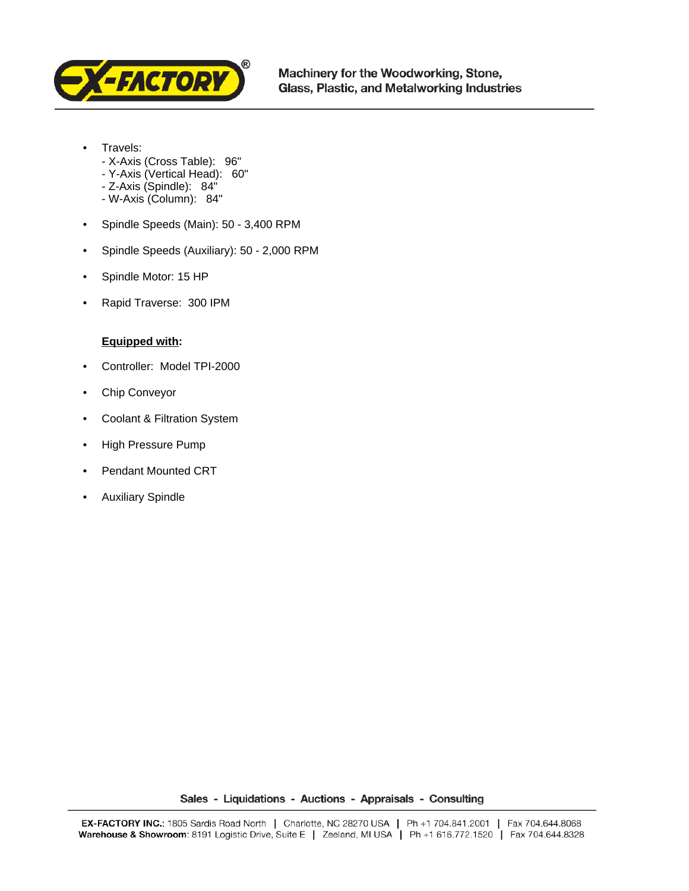

- Travels:
	- X-Axis (Cross Table): 96"
	- Y-Axis (Vertical Head): 60"
	- Z-Axis (Spindle): 84"
	- W-Axis (Column): 84"
- Spindle Speeds (Main): 50 3,400 RPM
- Spindle Speeds (Auxiliary): 50 2,000 RPM
- Spindle Motor: 15 HP
- Rapid Traverse: 300 IPM

## **Equipped with:**

- Controller: Model TPI-2000
- Chip Conveyor
- Coolant & Filtration System
- High Pressure Pump
- Pendant Mounted CRT
- Auxiliary Spindle

Sales - Liquidations - Auctions - Appraisals - Consulting